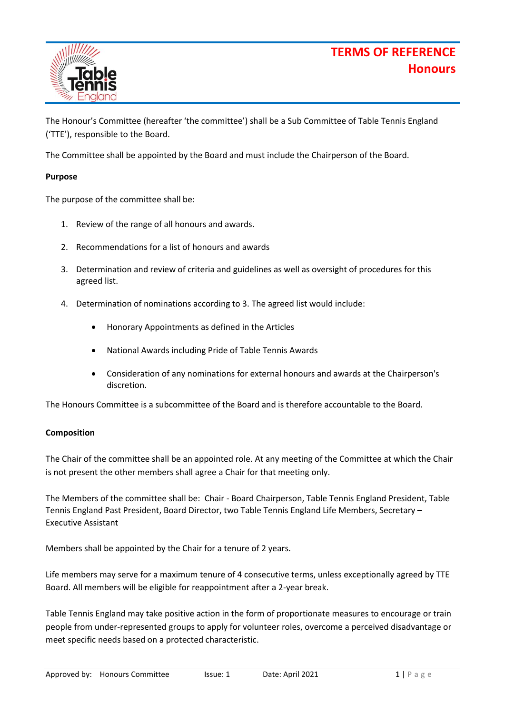# **TERMS OF REFERENCE Honours**



The Honour's Committee (hereafter 'the committee') shall be a Sub Committee of Table Tennis England ('TTE'), responsible to the Board.

The Committee shall be appointed by the Board and must include the Chairperson of the Board.

### **Purpose**

The purpose of the committee shall be:

- 1. Review of the range of all honours and awards.
- 2. Recommendations for a list of honours and awards
- 3. Determination and review of criteria and guidelines as well as oversight of procedures for this agreed list.
- 4. Determination of nominations according to 3. The agreed list would include:
	- Honorary Appointments as defined in the Articles
	- National Awards including Pride of Table Tennis Awards
	- Consideration of any nominations for external honours and awards at the Chairperson's discretion.

The Honours Committee is a subcommittee of the Board and is therefore accountable to the Board.

#### **Composition**

The Chair of the committee shall be an appointed role. At any meeting of the Committee at which the Chair is not present the other members shall agree a Chair for that meeting only.

The Members of the committee shall be: Chair - Board Chairperson, Table Tennis England President, Table Tennis England Past President, Board Director, two Table Tennis England Life Members, Secretary – Executive Assistant

Members shall be appointed by the Chair for a tenure of 2 years.

Life members may serve for a maximum tenure of 4 consecutive terms, unless exceptionally agreed by TTE Board. All members will be eligible for reappointment after a 2-year break.

Table Tennis England may take positive action in the form of proportionate measures to encourage or train people from under-represented groups to apply for volunteer roles, overcome a perceived disadvantage or meet specific needs based on a protected characteristic.